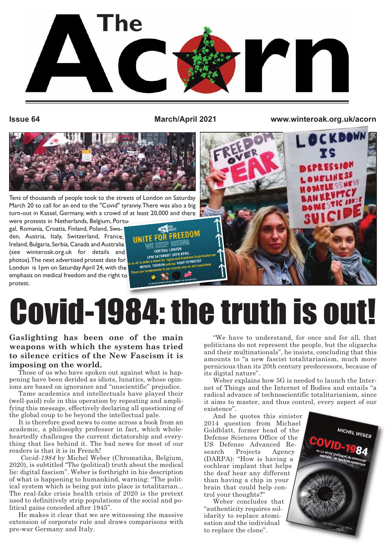

**Issue 64 March/April 2021 www.winteroak.org.uk/acorn**

**RESSION** 



Tens of thousands of people took to the streets of London on Saturday March 20 to call for an end to the "Covid" tyranny.There was also a big turn-out in Kassel, Germany, with a crowd of at least 20,000 and there

were protests in Netherlands, Belgium, Portugal, Romania, Croatia, Finland, Poland, Sweden, Austria, Italy, Switzerland, France, Ireland, Bulgaria, Serbia, Canada and Australia (see winteroak.org.uk for details and photos).The next advertised protest date for London is 1pm on Saturday April 24, with the emphasis on medical freedom and the right to protest.



# Covid-1984: the truth is out!

#### **Gaslighting has been one of the main weapons with which the system has tried to silence critics of the New Fascism it is imposing on the world.**

Those of us who have spoken out against what is happening have been derided as idiots, lunatics, whose opinions are based on ignorance and "unscientific" prejudice.

Tame academics and intellectuals have played their (well-paid) role in this operation by repeating and amplifying this message, effectively declaring all questioning of the global coup to be beyond the intellectual pale.

It is therefore good news to come across a book from an academic, a philosophy professor in fact, which wholeheartedly challenges the current dictatorship and everything that lies behind it. The bad news for most of our readers is that it is in French!

*Covid-1984* by Michel Weber (Chromatika, Belgium, 2020), is subtitled "The (political) truth about the medical lie: digital fascism". Weber is forthright in his description of what is happening to humankind, warning: "The political system which is being put into place is totalitarian... The real-fake crisis health crisis of 2020 is the pretext used to definitively strip populations of the social and political gains conceded after 1945".

He makes it clear that we are witnessing the massive extension of corporate rule and draws comparisons with pre-war Germany and Italy.

"We have to understand, for once and for all, that politicians do not represent the people, but the oligarchs and their multinationals", he insists, concluding that this amounts to "a new fascist totalitarianism, much more pernicious than its 20th century predecessors, because of its digital nature".

Weber explains how 5G is needed to launch the Internet of Things and the Internet of Bodies and entails "a radical advance of technoscientific totalitarianism, since it aims to master, and thus control, every aspect of our existence".

And he quotes this sinister 2014 question from Michael Goldblatt, former head of the Defense Sciences Office of the US Defense Advanced Research Projects Agency (DARPA): "How is having a cochlear implant that helps the deaf hear any different than having a chip in your brain that could help control your thoughts?"

Weber concludes that "authenticity requires solidarity to replace atomisation and the individual to replace the clone".